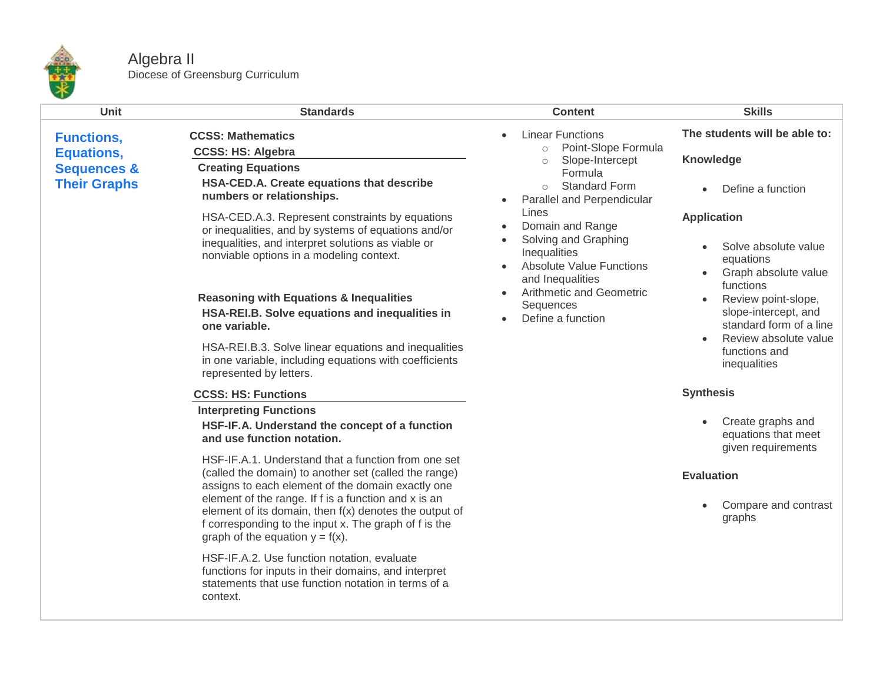

## Algebra II Diocese of Greensburg Curriculum

| <b>Unit</b>                                   | <b>Standards</b>                                                                                                                                                                                              | <b>Content</b>                                                                                                                                                                                                                                                                                                                                 | <b>Skills</b>                                                                       |
|-----------------------------------------------|---------------------------------------------------------------------------------------------------------------------------------------------------------------------------------------------------------------|------------------------------------------------------------------------------------------------------------------------------------------------------------------------------------------------------------------------------------------------------------------------------------------------------------------------------------------------|-------------------------------------------------------------------------------------|
| <b>Functions,</b><br><b>Equations,</b>        | <b>CCSS: Mathematics</b><br><b>CCSS: HS: Algebra</b>                                                                                                                                                          | <b>Linear Functions</b><br>Point-Slope Formula<br>$\circ$                                                                                                                                                                                                                                                                                      | The students will be able to:                                                       |
| <b>Sequences &amp;</b><br><b>Their Graphs</b> | <b>Creating Equations</b><br>HSA-CED.A. Create equations that describe<br>numbers or relationships.                                                                                                           | Slope-Intercept<br>$\circ$<br>Formula<br><b>Standard Form</b><br>$\circ$<br>Parallel and Perpendicular<br>Lines<br>Domain and Range<br>$\bullet$<br>Solving and Graphing<br>$\bullet$<br>Inequalities<br><b>Absolute Value Functions</b><br>$\bullet$<br>and Inequalities<br><b>Arithmetic and Geometric</b><br>Sequences<br>Define a function | <b>Knowledge</b><br>Define a function                                               |
|                                               | HSA-CED.A.3. Represent constraints by equations<br>or inequalities, and by systems of equations and/or<br>inequalities, and interpret solutions as viable or<br>nonviable options in a modeling context.      |                                                                                                                                                                                                                                                                                                                                                | <b>Application</b><br>Solve absolute value<br>equations<br>Graph absolute value     |
|                                               | <b>Reasoning with Equations &amp; Inequalities</b><br>HSA-REI.B. Solve equations and inequalities in<br>one variable.                                                                                         |                                                                                                                                                                                                                                                                                                                                                | functions<br>Review point-slope,<br>slope-intercept, and<br>standard form of a line |
|                                               | HSA-REI.B.3. Solve linear equations and inequalities<br>in one variable, including equations with coefficients<br>represented by letters.                                                                     |                                                                                                                                                                                                                                                                                                                                                | Review absolute value<br>functions and<br>inequalities                              |
|                                               | <b>CCSS: HS: Functions</b>                                                                                                                                                                                    |                                                                                                                                                                                                                                                                                                                                                | <b>Synthesis</b>                                                                    |
|                                               | <b>Interpreting Functions</b><br>HSF-IF.A. Understand the concept of a function<br>and use function notation.                                                                                                 |                                                                                                                                                                                                                                                                                                                                                | Create graphs and<br>equations that meet<br>given requirements                      |
|                                               | HSF-IF.A.1. Understand that a function from one set<br>(called the domain) to another set (called the range)<br>assigns to each element of the domain exactly one                                             |                                                                                                                                                                                                                                                                                                                                                | <b>Evaluation</b>                                                                   |
|                                               | element of the range. If f is a function and x is an<br>element of its domain, then f(x) denotes the output of<br>f corresponding to the input x. The graph of f is the<br>graph of the equation $y = f(x)$ . |                                                                                                                                                                                                                                                                                                                                                | Compare and contrast<br>$\bullet$<br>graphs                                         |
|                                               | HSF-IF.A.2. Use function notation, evaluate<br>functions for inputs in their domains, and interpret<br>statements that use function notation in terms of a<br>context.                                        |                                                                                                                                                                                                                                                                                                                                                |                                                                                     |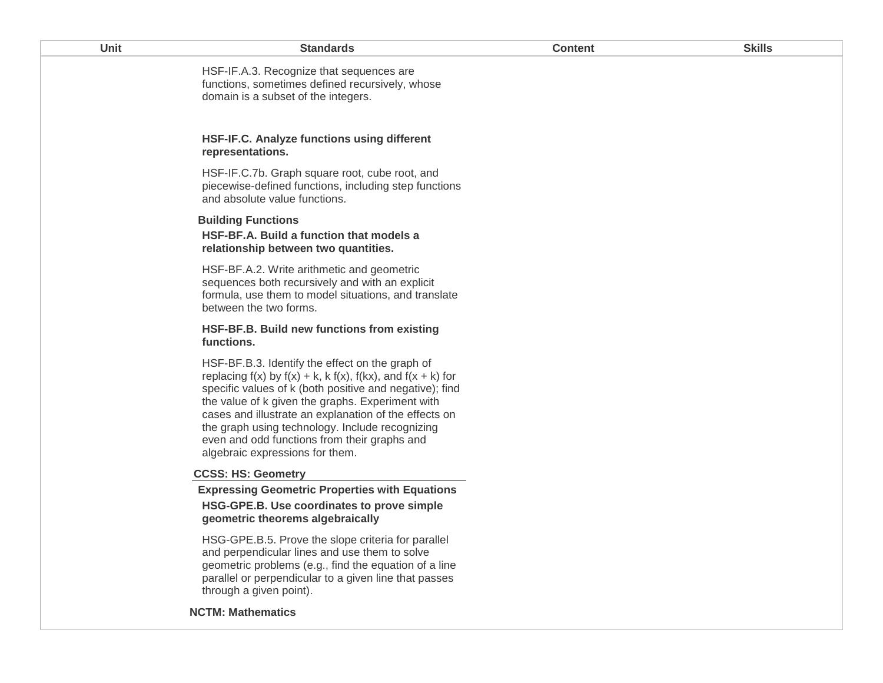| Unit | <b>Standards</b>                                                                                                                                                                                                                                                                                                                                                                                                                          | <b>Content</b> | <b>Skills</b> |
|------|-------------------------------------------------------------------------------------------------------------------------------------------------------------------------------------------------------------------------------------------------------------------------------------------------------------------------------------------------------------------------------------------------------------------------------------------|----------------|---------------|
|      | HSF-IF.A.3. Recognize that sequences are<br>functions, sometimes defined recursively, whose<br>domain is a subset of the integers.                                                                                                                                                                                                                                                                                                        |                |               |
|      | HSF-IF.C. Analyze functions using different<br>representations.                                                                                                                                                                                                                                                                                                                                                                           |                |               |
|      | HSF-IF.C.7b. Graph square root, cube root, and<br>piecewise-defined functions, including step functions<br>and absolute value functions.                                                                                                                                                                                                                                                                                                  |                |               |
|      | <b>Building Functions</b><br>HSF-BF.A. Build a function that models a<br>relationship between two quantities.                                                                                                                                                                                                                                                                                                                             |                |               |
|      | HSF-BF.A.2. Write arithmetic and geometric<br>sequences both recursively and with an explicit<br>formula, use them to model situations, and translate<br>between the two forms.                                                                                                                                                                                                                                                           |                |               |
|      | HSF-BF.B. Build new functions from existing<br>functions.                                                                                                                                                                                                                                                                                                                                                                                 |                |               |
|      | HSF-BF.B.3. Identify the effect on the graph of<br>replacing $f(x)$ by $f(x) + k$ , k $f(x)$ , $f(kx)$ , and $f(x + k)$ for<br>specific values of k (both positive and negative); find<br>the value of k given the graphs. Experiment with<br>cases and illustrate an explanation of the effects on<br>the graph using technology. Include recognizing<br>even and odd functions from their graphs and<br>algebraic expressions for them. |                |               |
|      | <b>CCSS: HS: Geometry</b>                                                                                                                                                                                                                                                                                                                                                                                                                 |                |               |
|      | <b>Expressing Geometric Properties with Equations</b><br>HSG-GPE.B. Use coordinates to prove simple<br>geometric theorems algebraically                                                                                                                                                                                                                                                                                                   |                |               |
|      | HSG-GPE.B.5. Prove the slope criteria for parallel<br>and perpendicular lines and use them to solve<br>geometric problems (e.g., find the equation of a line<br>parallel or perpendicular to a given line that passes<br>through a given point).                                                                                                                                                                                          |                |               |
|      | <b>NCTM: Mathematics</b>                                                                                                                                                                                                                                                                                                                                                                                                                  |                |               |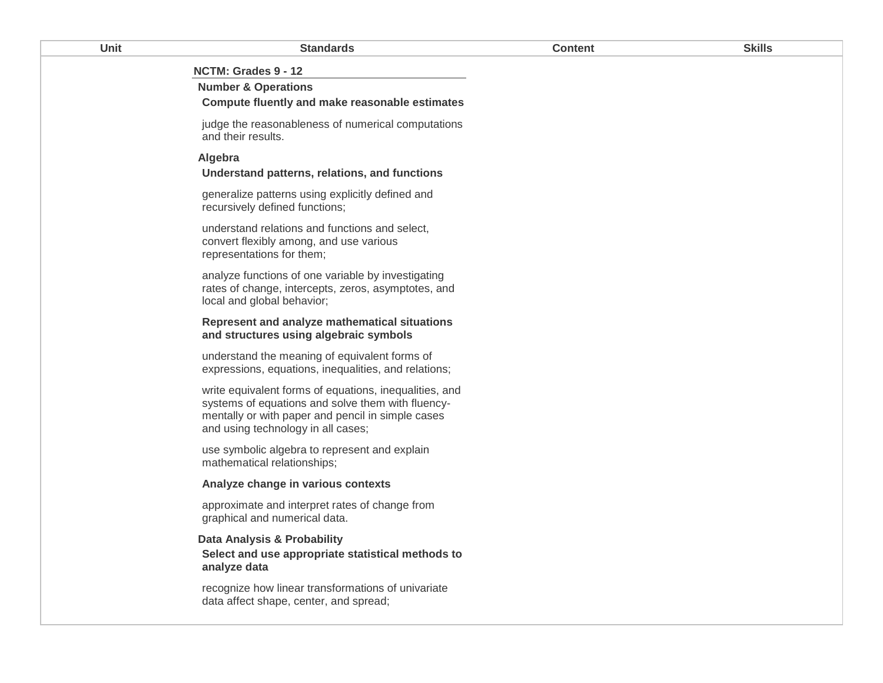| Unit | <b>Standards</b>                                                                                                                                                                                       | <b>Content</b> | <b>Skills</b> |
|------|--------------------------------------------------------------------------------------------------------------------------------------------------------------------------------------------------------|----------------|---------------|
|      | NCTM: Grades 9 - 12                                                                                                                                                                                    |                |               |
|      | <b>Number &amp; Operations</b>                                                                                                                                                                         |                |               |
|      | Compute fluently and make reasonable estimates                                                                                                                                                         |                |               |
|      | judge the reasonableness of numerical computations<br>and their results.                                                                                                                               |                |               |
|      | Algebra<br>Understand patterns, relations, and functions                                                                                                                                               |                |               |
|      | generalize patterns using explicitly defined and<br>recursively defined functions;                                                                                                                     |                |               |
|      | understand relations and functions and select,<br>convert flexibly among, and use various<br>representations for them;                                                                                 |                |               |
|      | analyze functions of one variable by investigating<br>rates of change, intercepts, zeros, asymptotes, and<br>local and global behavior;                                                                |                |               |
|      | Represent and analyze mathematical situations<br>and structures using algebraic symbols                                                                                                                |                |               |
|      | understand the meaning of equivalent forms of<br>expressions, equations, inequalities, and relations;                                                                                                  |                |               |
|      | write equivalent forms of equations, inequalities, and<br>systems of equations and solve them with fluency-<br>mentally or with paper and pencil in simple cases<br>and using technology in all cases; |                |               |
|      | use symbolic algebra to represent and explain<br>mathematical relationships;                                                                                                                           |                |               |
|      | Analyze change in various contexts                                                                                                                                                                     |                |               |
|      | approximate and interpret rates of change from<br>graphical and numerical data.                                                                                                                        |                |               |
|      | Data Analysis & Probability                                                                                                                                                                            |                |               |
|      | Select and use appropriate statistical methods to<br>analyze data                                                                                                                                      |                |               |
|      | recognize how linear transformations of univariate<br>data affect shape, center, and spread;                                                                                                           |                |               |
|      |                                                                                                                                                                                                        |                |               |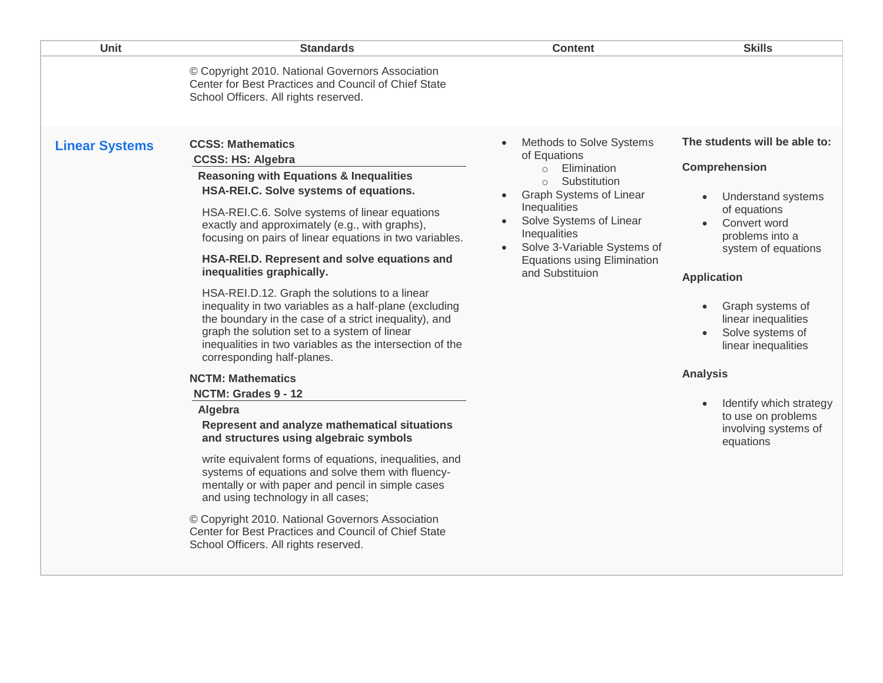| Unit                  | <b>Standards</b>                                                                                                                                                                                                                                                                                                                                                                                                                                                                                                                                                                                                                                                                                                                                                                                                                                                                                                                                                                                                                                                                                                                                                                                                                       | <b>Content</b>                                                                                                                                                                                                                                                              | <b>Skills</b>                                                                                                                                                                                                                                                                                                                                                              |
|-----------------------|----------------------------------------------------------------------------------------------------------------------------------------------------------------------------------------------------------------------------------------------------------------------------------------------------------------------------------------------------------------------------------------------------------------------------------------------------------------------------------------------------------------------------------------------------------------------------------------------------------------------------------------------------------------------------------------------------------------------------------------------------------------------------------------------------------------------------------------------------------------------------------------------------------------------------------------------------------------------------------------------------------------------------------------------------------------------------------------------------------------------------------------------------------------------------------------------------------------------------------------|-----------------------------------------------------------------------------------------------------------------------------------------------------------------------------------------------------------------------------------------------------------------------------|----------------------------------------------------------------------------------------------------------------------------------------------------------------------------------------------------------------------------------------------------------------------------------------------------------------------------------------------------------------------------|
|                       | © Copyright 2010. National Governors Association<br>Center for Best Practices and Council of Chief State<br>School Officers. All rights reserved.                                                                                                                                                                                                                                                                                                                                                                                                                                                                                                                                                                                                                                                                                                                                                                                                                                                                                                                                                                                                                                                                                      |                                                                                                                                                                                                                                                                             |                                                                                                                                                                                                                                                                                                                                                                            |
| <b>Linear Systems</b> | <b>CCSS: Mathematics</b><br><b>CCSS: HS: Algebra</b><br><b>Reasoning with Equations &amp; Inequalities</b><br>HSA-REI.C. Solve systems of equations.<br>HSA-REI.C.6. Solve systems of linear equations<br>exactly and approximately (e.g., with graphs),<br>focusing on pairs of linear equations in two variables.<br>HSA-REI.D. Represent and solve equations and<br>inequalities graphically.<br>HSA-REI.D.12. Graph the solutions to a linear<br>inequality in two variables as a half-plane (excluding<br>the boundary in the case of a strict inequality), and<br>graph the solution set to a system of linear<br>inequalities in two variables as the intersection of the<br>corresponding half-planes.<br><b>NCTM: Mathematics</b><br>NCTM: Grades 9 - 12<br>Algebra<br>Represent and analyze mathematical situations<br>and structures using algebraic symbols<br>write equivalent forms of equations, inequalities, and<br>systems of equations and solve them with fluency-<br>mentally or with paper and pencil in simple cases<br>and using technology in all cases;<br>© Copyright 2010. National Governors Association<br>Center for Best Practices and Council of Chief State<br>School Officers. All rights reserved. | Methods to Solve Systems<br>of Equations<br>Elimination<br>$\circ$<br>Substitution<br>$\circ$<br>Graph Systems of Linear<br>Inequalities<br>Solve Systems of Linear<br>Inequalities<br>Solve 3-Variable Systems of<br><b>Equations using Elimination</b><br>and Substituion | The students will be able to:<br>Comprehension<br><b>Understand systems</b><br>of equations<br>Convert word<br>problems into a<br>system of equations<br><b>Application</b><br>Graph systems of<br>linear inequalities<br>Solve systems of<br>linear inequalities<br><b>Analysis</b><br>Identify which strategy<br>to use on problems<br>involving systems of<br>equations |
|                       |                                                                                                                                                                                                                                                                                                                                                                                                                                                                                                                                                                                                                                                                                                                                                                                                                                                                                                                                                                                                                                                                                                                                                                                                                                        |                                                                                                                                                                                                                                                                             |                                                                                                                                                                                                                                                                                                                                                                            |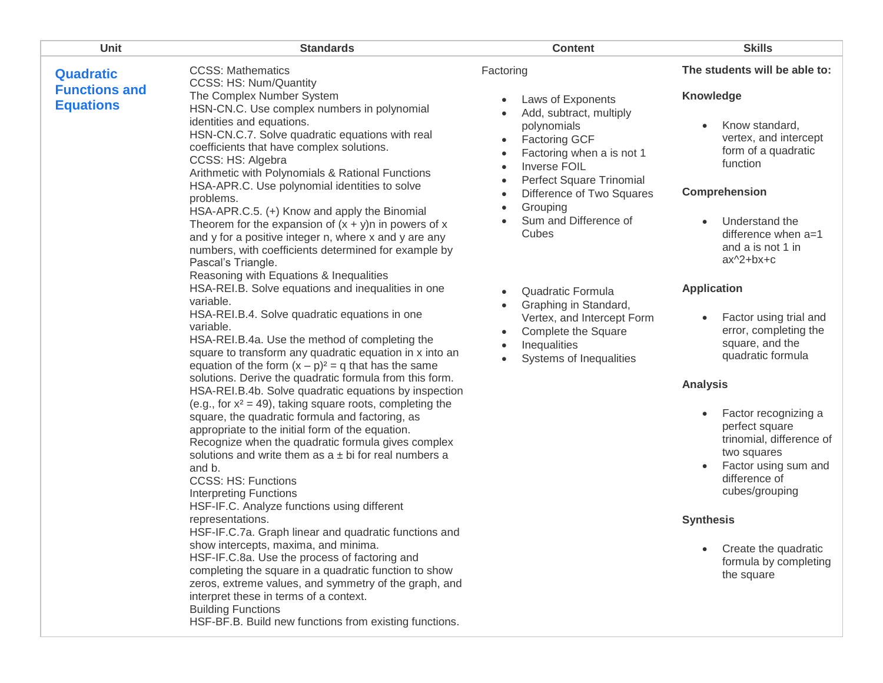| Unit                                     | <b>Standards</b>                                                                                                                                                                                                                                                                                                                                                                                                                                                                                                                                                                                                                                                                                                   | <b>Content</b>                                                                                                                                                                                | <b>Skills</b>                                                                                                                                                                                                                      |
|------------------------------------------|--------------------------------------------------------------------------------------------------------------------------------------------------------------------------------------------------------------------------------------------------------------------------------------------------------------------------------------------------------------------------------------------------------------------------------------------------------------------------------------------------------------------------------------------------------------------------------------------------------------------------------------------------------------------------------------------------------------------|-----------------------------------------------------------------------------------------------------------------------------------------------------------------------------------------------|------------------------------------------------------------------------------------------------------------------------------------------------------------------------------------------------------------------------------------|
| <b>Quadratic</b>                         | <b>CCSS: Mathematics</b><br>CCSS: HS: Num/Quantity                                                                                                                                                                                                                                                                                                                                                                                                                                                                                                                                                                                                                                                                 | Factoring                                                                                                                                                                                     | The students will be able to:                                                                                                                                                                                                      |
| <b>Functions and</b><br><b>Equations</b> | The Complex Number System<br>HSN-CN.C. Use complex numbers in polynomial<br>identities and equations.<br>HSN-CN.C.7. Solve quadratic equations with real<br>coefficients that have complex solutions.<br>CCSS: HS: Algebra<br>Arithmetic with Polynomials & Rational Functions<br>HSA-APR.C. Use polynomial identities to solve                                                                                                                                                                                                                                                                                                                                                                                    | Laws of Exponents<br>Add, subtract, multiply<br>polynomials<br><b>Factoring GCF</b><br>$\bullet$<br>Factoring when a is not 1<br><b>Inverse FOIL</b><br>Perfect Square Trinomial<br>$\bullet$ | <b>Knowledge</b><br>Know standard,<br>vertex, and intercept<br>form of a quadratic<br>function                                                                                                                                     |
|                                          | problems.<br>HSA-APR.C.5. (+) Know and apply the Binomial<br>Theorem for the expansion of $(x + y)$ n in powers of x<br>and y for a positive integer n, where x and y are any<br>numbers, with coefficients determined for example by<br>Pascal's Triangle.<br>Reasoning with Equations & Inequalities                                                                                                                                                                                                                                                                                                                                                                                                             | Difference of Two Squares<br>Grouping<br>Sum and Difference of<br>Cubes                                                                                                                       | Comprehension<br>Understand the<br>difference when $a=1$<br>and a is not 1 in<br>$ax^2+bx+c$                                                                                                                                       |
|                                          | HSA-REI.B. Solve equations and inequalities in one<br>variable.<br>HSA-REI.B.4. Solve quadratic equations in one<br>variable.<br>HSA-REI.B.4a. Use the method of completing the<br>square to transform any quadratic equation in x into an<br>equation of the form $(x - p)^2 = q$ that has the same<br>solutions. Derive the quadratic formula from this form.<br>HSA-REI.B.4b. Solve quadratic equations by inspection<br>(e.g., for $x^2 = 49$ ), taking square roots, completing the<br>square, the quadratic formula and factoring, as<br>appropriate to the initial form of the equation.<br>Recognize when the quadratic formula gives complex<br>solutions and write them as $a \pm bi$ for real numbers a | Quadratic Formula<br>Graphing in Standard,<br>$\bullet$<br>Vertex, and Intercept Form<br>Complete the Square<br>Inequalities<br>Systems of Inequalities                                       | <b>Application</b><br>Factor using trial and<br>error, completing the<br>square, and the<br>quadratic formula<br><b>Analysis</b><br>Factor recognizing a<br>$\bullet$<br>perfect square<br>trinomial, difference of<br>two squares |
|                                          | and b.<br><b>CCSS: HS: Functions</b><br><b>Interpreting Functions</b><br>HSF-IF.C. Analyze functions using different<br>representations.                                                                                                                                                                                                                                                                                                                                                                                                                                                                                                                                                                           |                                                                                                                                                                                               | Factor using sum and<br>difference of<br>cubes/grouping<br><b>Synthesis</b>                                                                                                                                                        |
|                                          | HSF-IF.C.7a. Graph linear and quadratic functions and<br>show intercepts, maxima, and minima.<br>HSF-IF.C.8a. Use the process of factoring and<br>completing the square in a quadratic function to show<br>zeros, extreme values, and symmetry of the graph, and<br>interpret these in terms of a context.<br><b>Building Functions</b><br>HSF-BF.B. Build new functions from existing functions.                                                                                                                                                                                                                                                                                                                  |                                                                                                                                                                                               | Create the quadratic<br>formula by completing<br>the square                                                                                                                                                                        |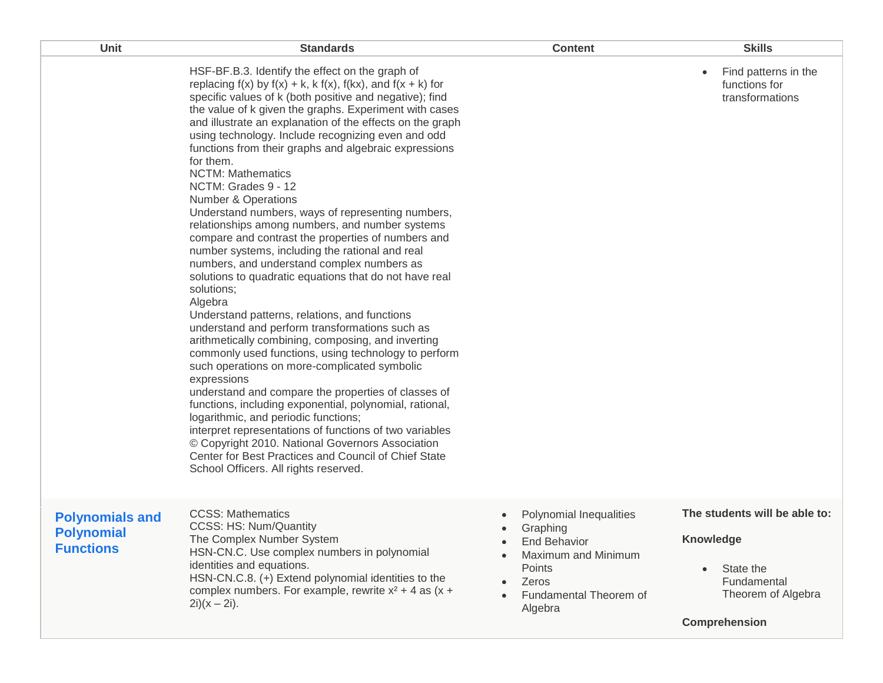| Unit                                                            | <b>Standards</b>                                                                                                                                                                                                                                                                                                                                                                                                                                                                                                                                                                                                                                                                                                                                                                                                                                                                                                                                                                                                                                                                                                                                                                                                                                                                                                                                                                                                                                                                                                                | <b>Content</b>                                                                                                                                         | <b>Skills</b>                                                                                                              |
|-----------------------------------------------------------------|---------------------------------------------------------------------------------------------------------------------------------------------------------------------------------------------------------------------------------------------------------------------------------------------------------------------------------------------------------------------------------------------------------------------------------------------------------------------------------------------------------------------------------------------------------------------------------------------------------------------------------------------------------------------------------------------------------------------------------------------------------------------------------------------------------------------------------------------------------------------------------------------------------------------------------------------------------------------------------------------------------------------------------------------------------------------------------------------------------------------------------------------------------------------------------------------------------------------------------------------------------------------------------------------------------------------------------------------------------------------------------------------------------------------------------------------------------------------------------------------------------------------------------|--------------------------------------------------------------------------------------------------------------------------------------------------------|----------------------------------------------------------------------------------------------------------------------------|
|                                                                 | HSF-BF.B.3. Identify the effect on the graph of<br>replacing $f(x)$ by $f(x) + k$ , k $f(x)$ , $f(kx)$ , and $f(x + k)$ for<br>specific values of k (both positive and negative); find<br>the value of k given the graphs. Experiment with cases<br>and illustrate an explanation of the effects on the graph<br>using technology. Include recognizing even and odd<br>functions from their graphs and algebraic expressions<br>for them.<br><b>NCTM: Mathematics</b><br>NCTM: Grades 9 - 12<br>Number & Operations<br>Understand numbers, ways of representing numbers,<br>relationships among numbers, and number systems<br>compare and contrast the properties of numbers and<br>number systems, including the rational and real<br>numbers, and understand complex numbers as<br>solutions to quadratic equations that do not have real<br>solutions;<br>Algebra<br>Understand patterns, relations, and functions<br>understand and perform transformations such as<br>arithmetically combining, composing, and inverting<br>commonly used functions, using technology to perform<br>such operations on more-complicated symbolic<br>expressions<br>understand and compare the properties of classes of<br>functions, including exponential, polynomial, rational,<br>logarithmic, and periodic functions;<br>interpret representations of functions of two variables<br>© Copyright 2010. National Governors Association<br>Center for Best Practices and Council of Chief State<br>School Officers. All rights reserved. |                                                                                                                                                        | Find patterns in the<br>$\bullet$<br>functions for<br>transformations                                                      |
| <b>Polynomials and</b><br><b>Polynomial</b><br><b>Functions</b> | <b>CCSS: Mathematics</b><br><b>CCSS: HS: Num/Quantity</b><br>The Complex Number System<br>HSN-CN.C. Use complex numbers in polynomial<br>identities and equations.<br>HSN-CN.C.8. (+) Extend polynomial identities to the<br>complex numbers. For example, rewrite $x^2 + 4$ as $(x +$<br>$2i(x - 2i)$ .                                                                                                                                                                                                                                                                                                                                                                                                                                                                                                                                                                                                                                                                                                                                                                                                                                                                                                                                                                                                                                                                                                                                                                                                                        | Polynomial Inequalities<br>Graphing<br><b>End Behavior</b><br>Maximum and Minimum<br>Points<br>Zeros<br>Fundamental Theorem of<br>$\bullet$<br>Algebra | The students will be able to:<br>Knowledge<br>State the<br>$\bullet$<br>Fundamental<br>Theorem of Algebra<br>Comprehension |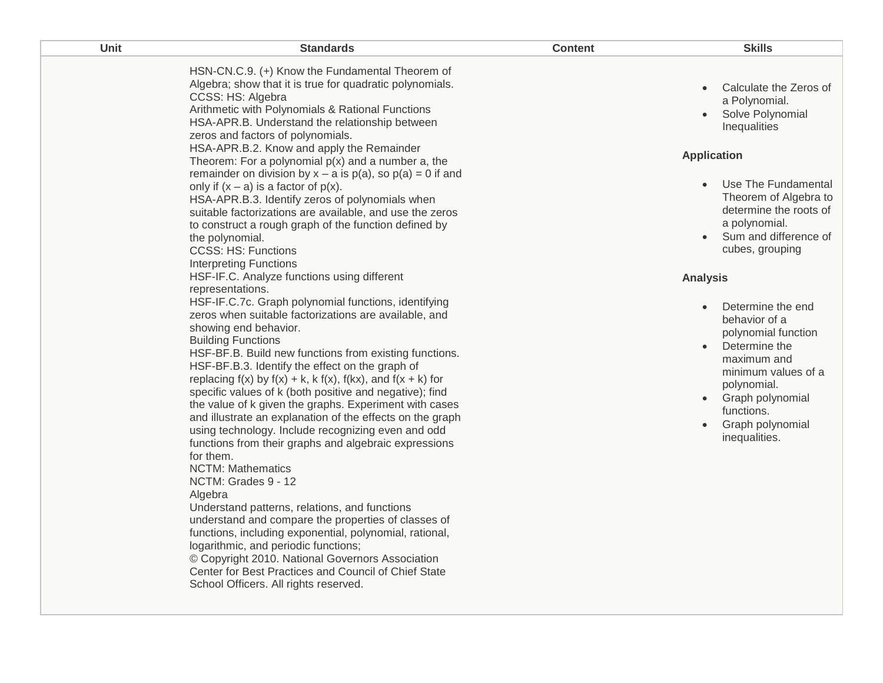| Unit | <b>Standards</b>                                                                                                                                                                                                                                                                                                                                                                                                                                                                                                                                                                                                                                                                                                                                                                                                                                                                                                                                                                                                                                                                                                                                                                                                                                                                                                                                                                                                                                                                                                                                                                                                                                                                                                                                                                                                                                                                                                                            | <b>Content</b> | <b>Skills</b>                                                                                                                                                                                                                                                                                                                                                                                                                                                                                                  |
|------|---------------------------------------------------------------------------------------------------------------------------------------------------------------------------------------------------------------------------------------------------------------------------------------------------------------------------------------------------------------------------------------------------------------------------------------------------------------------------------------------------------------------------------------------------------------------------------------------------------------------------------------------------------------------------------------------------------------------------------------------------------------------------------------------------------------------------------------------------------------------------------------------------------------------------------------------------------------------------------------------------------------------------------------------------------------------------------------------------------------------------------------------------------------------------------------------------------------------------------------------------------------------------------------------------------------------------------------------------------------------------------------------------------------------------------------------------------------------------------------------------------------------------------------------------------------------------------------------------------------------------------------------------------------------------------------------------------------------------------------------------------------------------------------------------------------------------------------------------------------------------------------------------------------------------------------------|----------------|----------------------------------------------------------------------------------------------------------------------------------------------------------------------------------------------------------------------------------------------------------------------------------------------------------------------------------------------------------------------------------------------------------------------------------------------------------------------------------------------------------------|
|      | HSN-CN.C.9. (+) Know the Fundamental Theorem of<br>Algebra; show that it is true for quadratic polynomials.<br>CCSS: HS: Algebra<br>Arithmetic with Polynomials & Rational Functions<br>HSA-APR.B. Understand the relationship between<br>zeros and factors of polynomials.<br>HSA-APR.B.2. Know and apply the Remainder<br>Theorem: For a polynomial $p(x)$ and a number a, the<br>remainder on division by $x - a$ is $p(a)$ , so $p(a) = 0$ if and<br>only if $(x - a)$ is a factor of $p(x)$ .<br>HSA-APR.B.3. Identify zeros of polynomials when<br>suitable factorizations are available, and use the zeros<br>to construct a rough graph of the function defined by<br>the polynomial.<br><b>CCSS: HS: Functions</b><br><b>Interpreting Functions</b><br>HSF-IF.C. Analyze functions using different<br>representations.<br>HSF-IF.C.7c. Graph polynomial functions, identifying<br>zeros when suitable factorizations are available, and<br>showing end behavior.<br><b>Building Functions</b><br>HSF-BF.B. Build new functions from existing functions.<br>HSF-BF.B.3. Identify the effect on the graph of<br>replacing $f(x)$ by $f(x) + k$ , k $f(x)$ , $f(kx)$ , and $f(x + k)$ for<br>specific values of k (both positive and negative); find<br>the value of k given the graphs. Experiment with cases<br>and illustrate an explanation of the effects on the graph<br>using technology. Include recognizing even and odd<br>functions from their graphs and algebraic expressions<br>for them.<br><b>NCTM: Mathematics</b><br>NCTM: Grades 9 - 12<br>Algebra<br>Understand patterns, relations, and functions<br>understand and compare the properties of classes of<br>functions, including exponential, polynomial, rational,<br>logarithmic, and periodic functions;<br>© Copyright 2010. National Governors Association<br>Center for Best Practices and Council of Chief State<br>School Officers. All rights reserved. |                | Calculate the Zeros of<br>a Polynomial.<br>Solve Polynomial<br>Inequalities<br><b>Application</b><br>Use The Fundamental<br>Theorem of Algebra to<br>determine the roots of<br>a polynomial.<br>• Sum and difference of<br>cubes, grouping<br><b>Analysis</b><br>Determine the end<br>$\bullet$<br>behavior of a<br>polynomial function<br>Determine the<br>$\bullet$<br>maximum and<br>minimum values of a<br>polynomial.<br>Graph polynomial<br>$\bullet$<br>functions.<br>Graph polynomial<br>inequalities. |
|      |                                                                                                                                                                                                                                                                                                                                                                                                                                                                                                                                                                                                                                                                                                                                                                                                                                                                                                                                                                                                                                                                                                                                                                                                                                                                                                                                                                                                                                                                                                                                                                                                                                                                                                                                                                                                                                                                                                                                             |                |                                                                                                                                                                                                                                                                                                                                                                                                                                                                                                                |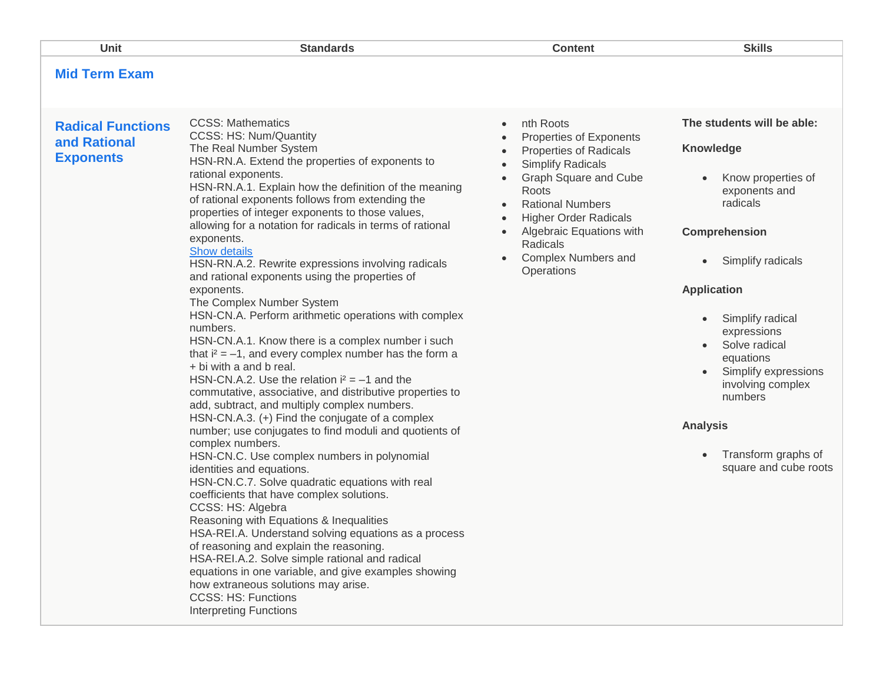| Unit                                                         | <b>Standards</b>                                                                                                                                                                                                                                                                                                                                                                                                                                                                                                                                                                                                                                                                                                                                                                                                                                                                                                                                                                                                                                                                                                                                                                                                                                                                                                                                                                                                                                                                                                                                                                                                                                      | <b>Content</b>                                                                                                                                                                                                                                                                                                     | <b>Skills</b>                                                                                                                                                                                                                                                                                                                                             |
|--------------------------------------------------------------|-------------------------------------------------------------------------------------------------------------------------------------------------------------------------------------------------------------------------------------------------------------------------------------------------------------------------------------------------------------------------------------------------------------------------------------------------------------------------------------------------------------------------------------------------------------------------------------------------------------------------------------------------------------------------------------------------------------------------------------------------------------------------------------------------------------------------------------------------------------------------------------------------------------------------------------------------------------------------------------------------------------------------------------------------------------------------------------------------------------------------------------------------------------------------------------------------------------------------------------------------------------------------------------------------------------------------------------------------------------------------------------------------------------------------------------------------------------------------------------------------------------------------------------------------------------------------------------------------------------------------------------------------------|--------------------------------------------------------------------------------------------------------------------------------------------------------------------------------------------------------------------------------------------------------------------------------------------------------------------|-----------------------------------------------------------------------------------------------------------------------------------------------------------------------------------------------------------------------------------------------------------------------------------------------------------------------------------------------------------|
| <b>Mid Term Exam</b>                                         |                                                                                                                                                                                                                                                                                                                                                                                                                                                                                                                                                                                                                                                                                                                                                                                                                                                                                                                                                                                                                                                                                                                                                                                                                                                                                                                                                                                                                                                                                                                                                                                                                                                       |                                                                                                                                                                                                                                                                                                                    |                                                                                                                                                                                                                                                                                                                                                           |
| <b>Radical Functions</b><br>and Rational<br><b>Exponents</b> | <b>CCSS: Mathematics</b><br>CCSS: HS: Num/Quantity<br>The Real Number System<br>HSN-RN.A. Extend the properties of exponents to<br>rational exponents.<br>HSN-RN.A.1. Explain how the definition of the meaning<br>of rational exponents follows from extending the<br>properties of integer exponents to those values,<br>allowing for a notation for radicals in terms of rational<br>exponents.<br>Show details<br>HSN-RN.A.2. Rewrite expressions involving radicals<br>and rational exponents using the properties of<br>exponents.<br>The Complex Number System<br>HSN-CN.A. Perform arithmetic operations with complex<br>numbers.<br>HSN-CN.A.1. Know there is a complex number i such<br>that $i^2 = -1$ , and every complex number has the form a<br>+ bi with a and b real.<br>HSN-CN.A.2. Use the relation $i^2 = -1$ and the<br>commutative, associative, and distributive properties to<br>add, subtract, and multiply complex numbers.<br>HSN-CN.A.3. (+) Find the conjugate of a complex<br>number; use conjugates to find moduli and quotients of<br>complex numbers.<br>HSN-CN.C. Use complex numbers in polynomial<br>identities and equations.<br>HSN-CN.C.7. Solve quadratic equations with real<br>coefficients that have complex solutions.<br>CCSS: HS: Algebra<br>Reasoning with Equations & Inequalities<br>HSA-REI.A. Understand solving equations as a process<br>of reasoning and explain the reasoning.<br>HSA-REI.A.2. Solve simple rational and radical<br>equations in one variable, and give examples showing<br>how extraneous solutions may arise.<br><b>CCSS: HS: Functions</b><br><b>Interpreting Functions</b> | nth Roots<br>$\bullet$<br>Properties of Exponents<br><b>Properties of Radicals</b><br><b>Simplify Radicals</b><br>$\bullet$<br>Graph Square and Cube<br>Roots<br><b>Rational Numbers</b><br>$\bullet$<br><b>Higher Order Radicals</b><br>Algebraic Equations with<br>Radicals<br>Complex Numbers and<br>Operations | The students will be able:<br><b>Knowledge</b><br>Know properties of<br>exponents and<br>radicals<br>Comprehension<br>Simplify radicals<br><b>Application</b><br>Simplify radical<br>expressions<br>Solve radical<br>equations<br>Simplify expressions<br>involving complex<br>numbers<br><b>Analysis</b><br>Transform graphs of<br>square and cube roots |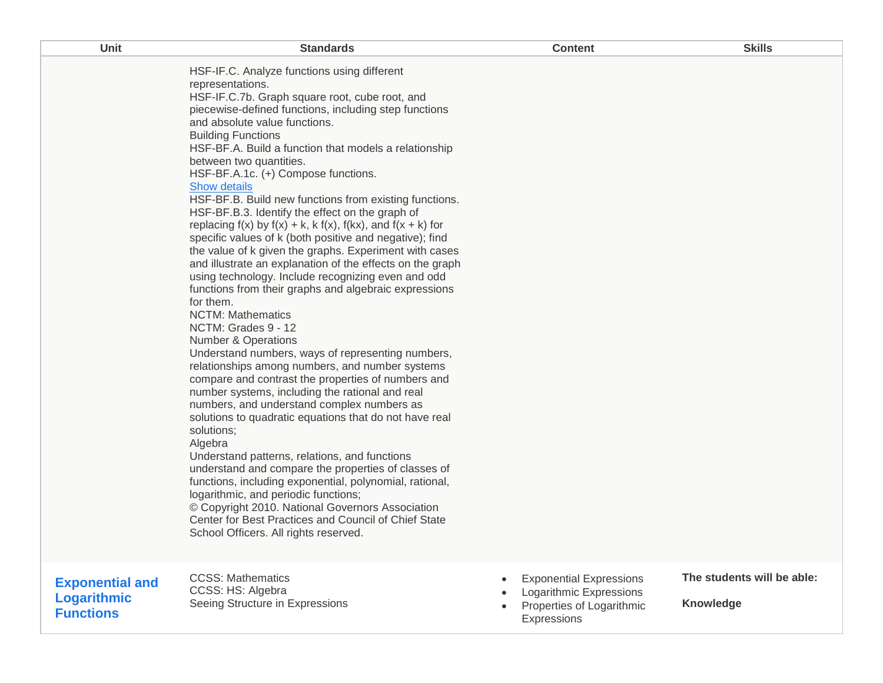| Unit                                                      | <b>Standards</b>                                                                                                                                                                                                                                                                                                                                                                                                                                                                                                                                                                                                                                                                                                                                                                                                                                                                                                                                                                                                                                                                                                                                                                                                                                                                                                                                                                                                                                                                                                                                                                                                                                                                                         | <b>Content</b>                                                                                        | <b>Skills</b>                           |
|-----------------------------------------------------------|----------------------------------------------------------------------------------------------------------------------------------------------------------------------------------------------------------------------------------------------------------------------------------------------------------------------------------------------------------------------------------------------------------------------------------------------------------------------------------------------------------------------------------------------------------------------------------------------------------------------------------------------------------------------------------------------------------------------------------------------------------------------------------------------------------------------------------------------------------------------------------------------------------------------------------------------------------------------------------------------------------------------------------------------------------------------------------------------------------------------------------------------------------------------------------------------------------------------------------------------------------------------------------------------------------------------------------------------------------------------------------------------------------------------------------------------------------------------------------------------------------------------------------------------------------------------------------------------------------------------------------------------------------------------------------------------------------|-------------------------------------------------------------------------------------------------------|-----------------------------------------|
|                                                           | HSF-IF.C. Analyze functions using different<br>representations.<br>HSF-IF.C.7b. Graph square root, cube root, and<br>piecewise-defined functions, including step functions<br>and absolute value functions.<br><b>Building Functions</b><br>HSF-BF.A. Build a function that models a relationship<br>between two quantities.<br>HSF-BF.A.1c. (+) Compose functions.<br><b>Show details</b><br>HSF-BF.B. Build new functions from existing functions.<br>HSF-BF.B.3. Identify the effect on the graph of<br>replacing $f(x)$ by $f(x) + k$ , k $f(x)$ , $f(kx)$ , and $f(x + k)$ for<br>specific values of k (both positive and negative); find<br>the value of k given the graphs. Experiment with cases<br>and illustrate an explanation of the effects on the graph<br>using technology. Include recognizing even and odd<br>functions from their graphs and algebraic expressions<br>for them.<br><b>NCTM: Mathematics</b><br>NCTM: Grades 9 - 12<br><b>Number &amp; Operations</b><br>Understand numbers, ways of representing numbers,<br>relationships among numbers, and number systems<br>compare and contrast the properties of numbers and<br>number systems, including the rational and real<br>numbers, and understand complex numbers as<br>solutions to quadratic equations that do not have real<br>solutions;<br>Algebra<br>Understand patterns, relations, and functions<br>understand and compare the properties of classes of<br>functions, including exponential, polynomial, rational,<br>logarithmic, and periodic functions;<br>© Copyright 2010. National Governors Association<br>Center for Best Practices and Council of Chief State<br>School Officers. All rights reserved. |                                                                                                       |                                         |
| <b>Exponential and</b><br>Logarithmic<br><b>Functions</b> | <b>CCSS: Mathematics</b><br>CCSS: HS: Algebra<br>Seeing Structure in Expressions                                                                                                                                                                                                                                                                                                                                                                                                                                                                                                                                                                                                                                                                                                                                                                                                                                                                                                                                                                                                                                                                                                                                                                                                                                                                                                                                                                                                                                                                                                                                                                                                                         | <b>Exponential Expressions</b><br>Logarithmic Expressions<br>Properties of Logarithmic<br>Expressions | The students will be able:<br>Knowledge |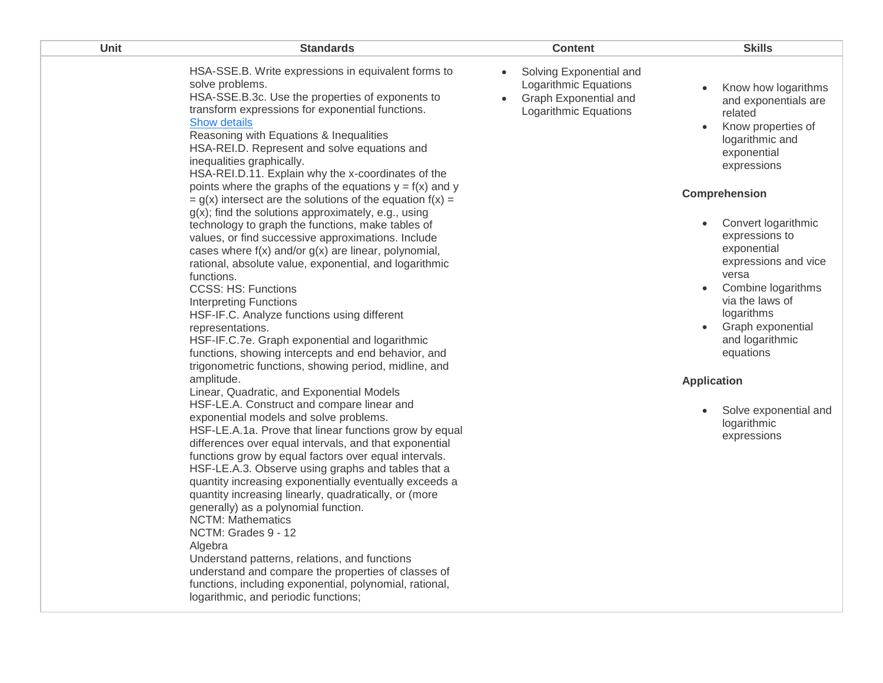| HSA-SSE.B. Write expressions in equivalent forms to<br>Solving Exponential and<br>$\bullet$<br>solve problems.<br>Logarithmic Equations<br>Know how logarithms<br>HSA-SSE.B.3c. Use the properties of exponents to<br>Graph Exponential and<br>and exponentials are<br>transform expressions for exponential functions.<br>Logarithmic Equations<br>related<br>Show details<br>Know properties of<br>Reasoning with Equations & Inequalities<br>logarithmic and<br>HSA-REI.D. Represent and solve equations and<br>exponential<br>inequalities graphically.<br>expressions<br>HSA-REI.D.11. Explain why the x-coordinates of the<br>points where the graphs of the equations $y = f(x)$ and y<br>Comprehension<br>$= g(x)$ intersect are the solutions of the equation $f(x) =$<br>$g(x)$ ; find the solutions approximately, e.g., using<br>Convert logarithmic<br>technology to graph the functions, make tables of<br>expressions to<br>values, or find successive approximations. Include<br>exponential<br>cases where $f(x)$ and/or $g(x)$ are linear, polynomial,<br>expressions and vice<br>rational, absolute value, exponential, and logarithmic<br>versa<br>functions.<br>Combine logarithms<br><b>CCSS: HS: Functions</b><br>$\bullet$<br>via the laws of<br><b>Interpreting Functions</b><br>logarithms<br>HSF-IF.C. Analyze functions using different<br>Graph exponential<br>representations.<br>HSF-IF.C.7e. Graph exponential and logarithmic<br>and logarithmic<br>equations<br>functions, showing intercepts and end behavior, and<br>trigonometric functions, showing period, midline, and<br>amplitude.<br><b>Application</b><br>Linear, Quadratic, and Exponential Models<br>HSF-LE.A. Construct and compare linear and<br>Solve exponential and<br>exponential models and solve problems.<br>logarithmic<br>HSF-LE.A.1a. Prove that linear functions grow by equal<br>expressions<br>differences over equal intervals, and that exponential<br>functions grow by equal factors over equal intervals.<br>HSF-LE.A.3. Observe using graphs and tables that a<br>quantity increasing exponentially eventually exceeds a<br>quantity increasing linearly, quadratically, or (more<br>generally) as a polynomial function.<br><b>NCTM: Mathematics</b><br>NCTM: Grades 9 - 12<br>Algebra | Unit | <b>Standards</b>                              | <b>Content</b> | <b>Skills</b> |
|------------------------------------------------------------------------------------------------------------------------------------------------------------------------------------------------------------------------------------------------------------------------------------------------------------------------------------------------------------------------------------------------------------------------------------------------------------------------------------------------------------------------------------------------------------------------------------------------------------------------------------------------------------------------------------------------------------------------------------------------------------------------------------------------------------------------------------------------------------------------------------------------------------------------------------------------------------------------------------------------------------------------------------------------------------------------------------------------------------------------------------------------------------------------------------------------------------------------------------------------------------------------------------------------------------------------------------------------------------------------------------------------------------------------------------------------------------------------------------------------------------------------------------------------------------------------------------------------------------------------------------------------------------------------------------------------------------------------------------------------------------------------------------------------------------------------------------------------------------------------------------------------------------------------------------------------------------------------------------------------------------------------------------------------------------------------------------------------------------------------------------------------------------------------------------------------------------------------------------------------------------------------------------------------------------|------|-----------------------------------------------|----------------|---------------|
| understand and compare the properties of classes of<br>functions, including exponential, polynomial, rational,<br>logarithmic, and periodic functions;                                                                                                                                                                                                                                                                                                                                                                                                                                                                                                                                                                                                                                                                                                                                                                                                                                                                                                                                                                                                                                                                                                                                                                                                                                                                                                                                                                                                                                                                                                                                                                                                                                                                                                                                                                                                                                                                                                                                                                                                                                                                                                                                                     |      | Understand patterns, relations, and functions |                |               |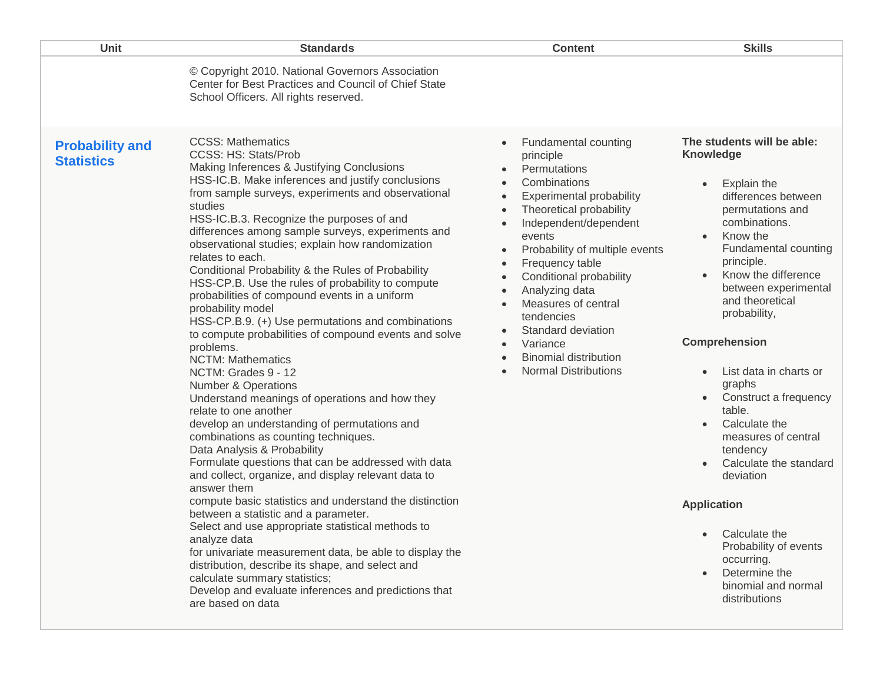| Unit                                        | <b>Standards</b>                                                                                                                                                                                                                                                                                                                                                                                                                                                                                                                                                                                                                                                                                                                                                                                                                                                                                                                                                                                                                                                                                                                                                                                                                                                                                                                                                                                                                                                                                                                    | <b>Content</b>                                                                                                                                                                                                                                                                                                                                                                                                                                                                                                                                                                             | <b>Skills</b>                                                                                                                                                                                                                                                                                                                                                                                                                                                                                                                                                                                                                                                                             |
|---------------------------------------------|-------------------------------------------------------------------------------------------------------------------------------------------------------------------------------------------------------------------------------------------------------------------------------------------------------------------------------------------------------------------------------------------------------------------------------------------------------------------------------------------------------------------------------------------------------------------------------------------------------------------------------------------------------------------------------------------------------------------------------------------------------------------------------------------------------------------------------------------------------------------------------------------------------------------------------------------------------------------------------------------------------------------------------------------------------------------------------------------------------------------------------------------------------------------------------------------------------------------------------------------------------------------------------------------------------------------------------------------------------------------------------------------------------------------------------------------------------------------------------------------------------------------------------------|--------------------------------------------------------------------------------------------------------------------------------------------------------------------------------------------------------------------------------------------------------------------------------------------------------------------------------------------------------------------------------------------------------------------------------------------------------------------------------------------------------------------------------------------------------------------------------------------|-------------------------------------------------------------------------------------------------------------------------------------------------------------------------------------------------------------------------------------------------------------------------------------------------------------------------------------------------------------------------------------------------------------------------------------------------------------------------------------------------------------------------------------------------------------------------------------------------------------------------------------------------------------------------------------------|
|                                             | © Copyright 2010. National Governors Association<br>Center for Best Practices and Council of Chief State<br>School Officers. All rights reserved.                                                                                                                                                                                                                                                                                                                                                                                                                                                                                                                                                                                                                                                                                                                                                                                                                                                                                                                                                                                                                                                                                                                                                                                                                                                                                                                                                                                   |                                                                                                                                                                                                                                                                                                                                                                                                                                                                                                                                                                                            |                                                                                                                                                                                                                                                                                                                                                                                                                                                                                                                                                                                                                                                                                           |
| <b>Probability and</b><br><b>Statistics</b> | <b>CCSS: Mathematics</b><br>CCSS: HS: Stats/Prob<br>Making Inferences & Justifying Conclusions<br>HSS-IC.B. Make inferences and justify conclusions<br>from sample surveys, experiments and observational<br>studies<br>HSS-IC.B.3. Recognize the purposes of and<br>differences among sample surveys, experiments and<br>observational studies; explain how randomization<br>relates to each.<br>Conditional Probability & the Rules of Probability<br>HSS-CP.B. Use the rules of probability to compute<br>probabilities of compound events in a uniform<br>probability model<br>HSS-CP.B.9. (+) Use permutations and combinations<br>to compute probabilities of compound events and solve<br>problems.<br><b>NCTM: Mathematics</b><br>NCTM: Grades 9 - 12<br><b>Number &amp; Operations</b><br>Understand meanings of operations and how they<br>relate to one another<br>develop an understanding of permutations and<br>combinations as counting techniques.<br>Data Analysis & Probability<br>Formulate questions that can be addressed with data<br>and collect, organize, and display relevant data to<br>answer them<br>compute basic statistics and understand the distinction<br>between a statistic and a parameter.<br>Select and use appropriate statistical methods to<br>analyze data<br>for univariate measurement data, be able to display the<br>distribution, describe its shape, and select and<br>calculate summary statistics;<br>Develop and evaluate inferences and predictions that<br>are based on data | <b>Fundamental counting</b><br>$\bullet$<br>principle<br>Permutations<br>Combinations<br>$\bullet$<br><b>Experimental probability</b><br>$\bullet$<br>Theoretical probability<br>$\bullet$<br>Independent/dependent<br>$\bullet$<br>events<br>Probability of multiple events<br>$\bullet$<br>Frequency table<br>$\bullet$<br>Conditional probability<br>$\bullet$<br>Analyzing data<br>$\bullet$<br>Measures of central<br>$\bullet$<br>tendencies<br>Standard deviation<br>$\bullet$<br>Variance<br>$\bullet$<br><b>Binomial distribution</b><br>$\bullet$<br><b>Normal Distributions</b> | The students will be able:<br><b>Knowledge</b><br>Explain the<br>$\bullet$<br>differences between<br>permutations and<br>combinations.<br>Know the<br>$\bullet$<br>Fundamental counting<br>principle.<br>Know the difference<br>$\bullet$<br>between experimental<br>and theoretical<br>probability,<br><b>Comprehension</b><br>List data in charts or<br>graphs<br>Construct a frequency<br>$\bullet$<br>table.<br>Calculate the<br>$\bullet$<br>measures of central<br>tendency<br>Calculate the standard<br>$\bullet$<br>deviation<br><b>Application</b><br>Calculate the<br>$\bullet$<br>Probability of events<br>occurring.<br>Determine the<br>binomial and normal<br>distributions |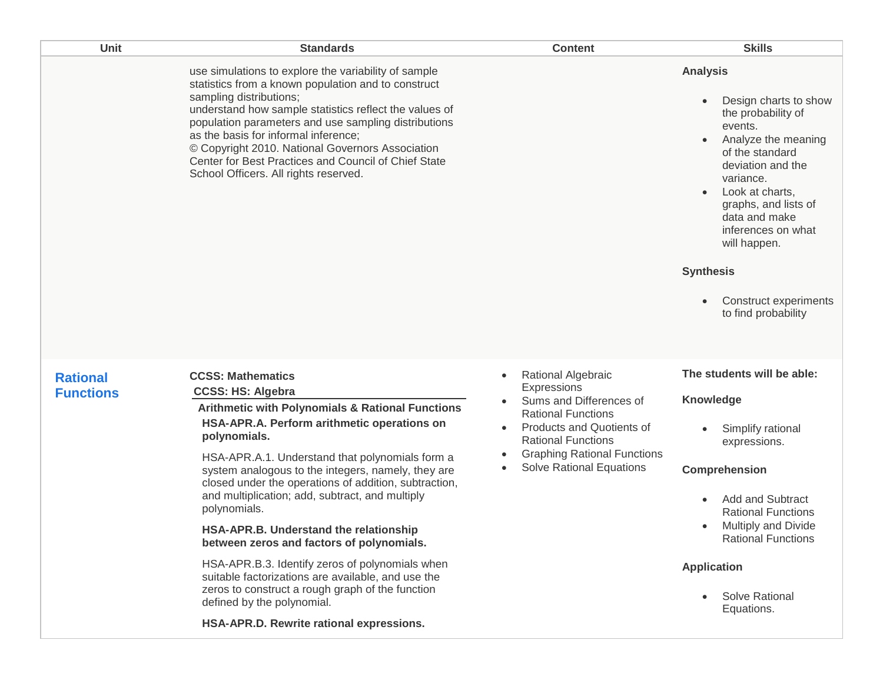| Unit                                | <b>Standards</b>                                                                                                                                                                                                                                                                                                                                                                                                                                                                                                                                                                                                                                                                                                                                      | <b>Content</b>                                                                                                                                                                                                                                                | <b>Skills</b>                                                                                                                                                                                                                                                                                                                            |
|-------------------------------------|-------------------------------------------------------------------------------------------------------------------------------------------------------------------------------------------------------------------------------------------------------------------------------------------------------------------------------------------------------------------------------------------------------------------------------------------------------------------------------------------------------------------------------------------------------------------------------------------------------------------------------------------------------------------------------------------------------------------------------------------------------|---------------------------------------------------------------------------------------------------------------------------------------------------------------------------------------------------------------------------------------------------------------|------------------------------------------------------------------------------------------------------------------------------------------------------------------------------------------------------------------------------------------------------------------------------------------------------------------------------------------|
|                                     | use simulations to explore the variability of sample<br>statistics from a known population and to construct<br>sampling distributions;<br>understand how sample statistics reflect the values of<br>population parameters and use sampling distributions<br>as the basis for informal inference;<br>© Copyright 2010. National Governors Association<br>Center for Best Practices and Council of Chief State<br>School Officers. All rights reserved.                                                                                                                                                                                                                                                                                                 |                                                                                                                                                                                                                                                               | <b>Analysis</b><br>Design charts to show<br>the probability of<br>events.<br>Analyze the meaning<br>of the standard<br>deviation and the<br>variance.<br>Look at charts,<br>$\bullet$<br>graphs, and lists of<br>data and make<br>inferences on what<br>will happen.<br><b>Synthesis</b><br>Construct experiments<br>to find probability |
| <b>Rational</b><br><b>Functions</b> | <b>CCSS: Mathematics</b><br><b>CCSS: HS: Algebra</b><br><b>Arithmetic with Polynomials &amp; Rational Functions</b><br>HSA-APR.A. Perform arithmetic operations on<br>polynomials.<br>HSA-APR.A.1. Understand that polynomials form a<br>system analogous to the integers, namely, they are<br>closed under the operations of addition, subtraction,<br>and multiplication; add, subtract, and multiply<br>polynomials.<br>HSA-APR.B. Understand the relationship<br>between zeros and factors of polynomials.<br>HSA-APR.B.3. Identify zeros of polynomials when<br>suitable factorizations are available, and use the<br>zeros to construct a rough graph of the function<br>defined by the polynomial.<br>HSA-APR.D. Rewrite rational expressions. | Rational Algebraic<br>$\bullet$<br>Expressions<br>Sums and Differences of<br><b>Rational Functions</b><br><b>Products and Quotients of</b><br>$\bullet$<br><b>Rational Functions</b><br><b>Graphing Rational Functions</b><br><b>Solve Rational Equations</b> | The students will be able:<br><b>Knowledge</b><br>Simplify rational<br>expressions.<br>Comprehension<br><b>Add and Subtract</b><br>$\bullet$<br><b>Rational Functions</b><br>Multiply and Divide<br><b>Rational Functions</b><br><b>Application</b><br>Solve Rational<br>Equations.                                                      |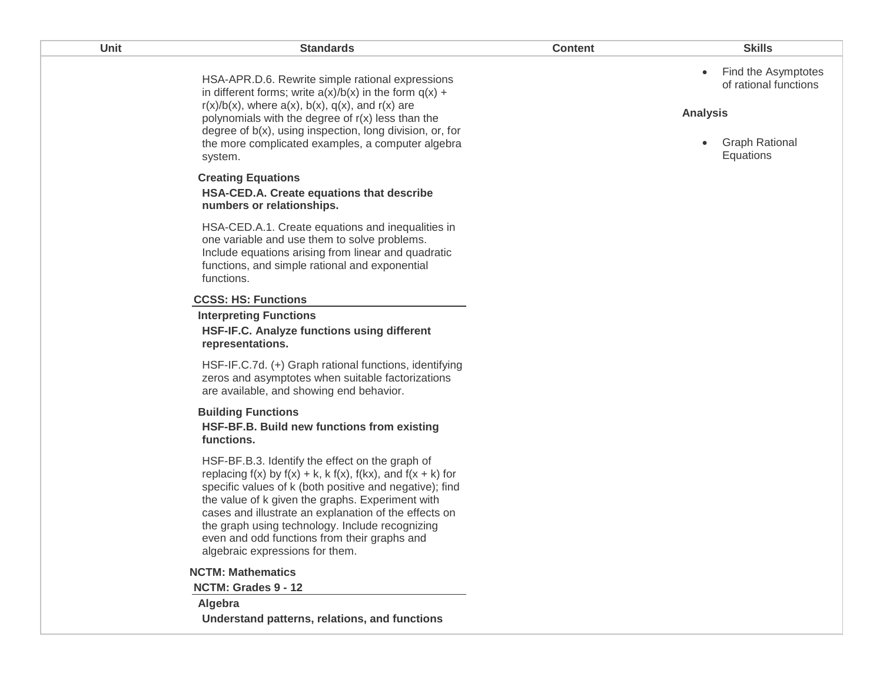| Unit | <b>Standards</b>                                                                                                                                                                                                                                                                                                                                                                                                                          | <b>Content</b> | <b>Skills</b>                                                                                                                   |
|------|-------------------------------------------------------------------------------------------------------------------------------------------------------------------------------------------------------------------------------------------------------------------------------------------------------------------------------------------------------------------------------------------------------------------------------------------|----------------|---------------------------------------------------------------------------------------------------------------------------------|
|      | HSA-APR.D.6. Rewrite simple rational expressions<br>in different forms; write $a(x)/b(x)$ in the form $q(x) +$<br>$r(x)/b(x)$ , where $a(x)$ , $b(x)$ , $q(x)$ , and $r(x)$ are<br>polynomials with the degree of $r(x)$ less than the<br>degree of b(x), using inspection, long division, or, for<br>the more complicated examples, a computer algebra<br>system.                                                                        |                | Find the Asymptotes<br>$\bullet$<br>of rational functions<br><b>Analysis</b><br><b>Graph Rational</b><br>$\bullet$<br>Equations |
|      | <b>Creating Equations</b><br>HSA-CED.A. Create equations that describe<br>numbers or relationships.                                                                                                                                                                                                                                                                                                                                       |                |                                                                                                                                 |
|      | HSA-CED.A.1. Create equations and inequalities in<br>one variable and use them to solve problems.<br>Include equations arising from linear and quadratic<br>functions, and simple rational and exponential<br>functions.                                                                                                                                                                                                                  |                |                                                                                                                                 |
|      | <b>CCSS: HS: Functions</b>                                                                                                                                                                                                                                                                                                                                                                                                                |                |                                                                                                                                 |
|      | <b>Interpreting Functions</b><br>HSF-IF.C. Analyze functions using different<br>representations.                                                                                                                                                                                                                                                                                                                                          |                |                                                                                                                                 |
|      | HSF-IF.C.7d. (+) Graph rational functions, identifying<br>zeros and asymptotes when suitable factorizations<br>are available, and showing end behavior.                                                                                                                                                                                                                                                                                   |                |                                                                                                                                 |
|      | <b>Building Functions</b><br>HSF-BF.B. Build new functions from existing<br>functions.                                                                                                                                                                                                                                                                                                                                                    |                |                                                                                                                                 |
|      | HSF-BF.B.3. Identify the effect on the graph of<br>replacing $f(x)$ by $f(x) + k$ , k $f(x)$ , $f(kx)$ , and $f(x + k)$ for<br>specific values of k (both positive and negative); find<br>the value of k given the graphs. Experiment with<br>cases and illustrate an explanation of the effects on<br>the graph using technology. Include recognizing<br>even and odd functions from their graphs and<br>algebraic expressions for them. |                |                                                                                                                                 |
|      | <b>NCTM: Mathematics</b>                                                                                                                                                                                                                                                                                                                                                                                                                  |                |                                                                                                                                 |
|      | NCTM: Grades 9 - 12                                                                                                                                                                                                                                                                                                                                                                                                                       |                |                                                                                                                                 |
|      | Algebra<br>Understand patterns, relations, and functions                                                                                                                                                                                                                                                                                                                                                                                  |                |                                                                                                                                 |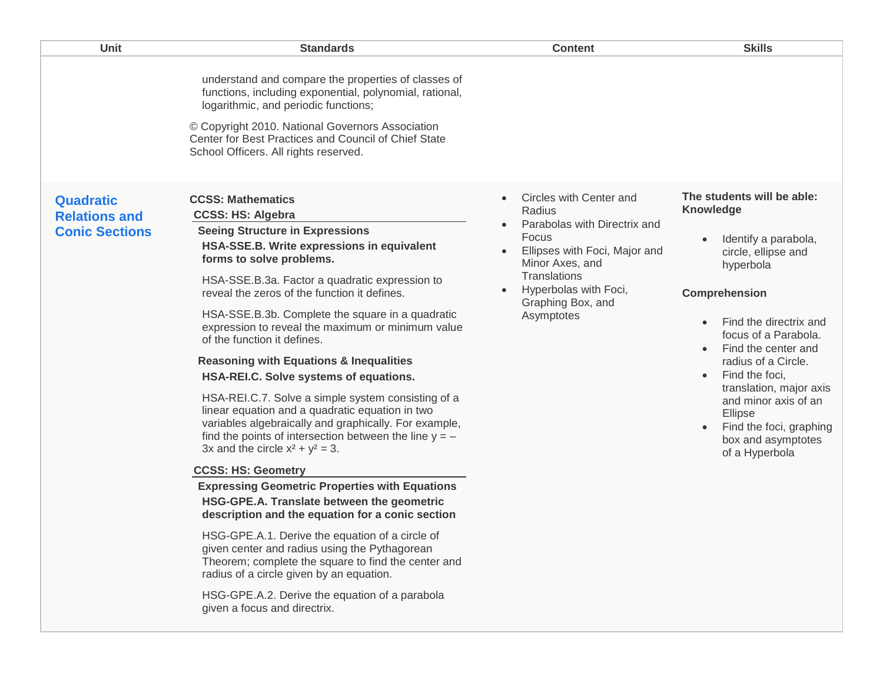| <b>Unit</b>                                                       | <b>Standards</b>                                                                                                                                                                                                                                                                                                                                                                                                   | <b>Content</b>                                                                                                                                                                                                          | <b>Skills</b>                                                                                                                                                                                                                                                                                                                                                                               |
|-------------------------------------------------------------------|--------------------------------------------------------------------------------------------------------------------------------------------------------------------------------------------------------------------------------------------------------------------------------------------------------------------------------------------------------------------------------------------------------------------|-------------------------------------------------------------------------------------------------------------------------------------------------------------------------------------------------------------------------|---------------------------------------------------------------------------------------------------------------------------------------------------------------------------------------------------------------------------------------------------------------------------------------------------------------------------------------------------------------------------------------------|
|                                                                   | understand and compare the properties of classes of<br>functions, including exponential, polynomial, rational,<br>logarithmic, and periodic functions;<br>© Copyright 2010. National Governors Association<br>Center for Best Practices and Council of Chief State<br>School Officers. All rights reserved.                                                                                                        |                                                                                                                                                                                                                         |                                                                                                                                                                                                                                                                                                                                                                                             |
| <b>Quadratic</b><br><b>Relations and</b><br><b>Conic Sections</b> | <b>CCSS: Mathematics</b><br><b>CCSS: HS: Algebra</b><br><b>Seeing Structure in Expressions</b><br>HSA-SSE.B. Write expressions in equivalent<br>forms to solve problems.<br>HSA-SSE.B.3a. Factor a quadratic expression to<br>reveal the zeros of the function it defines.<br>HSA-SSE.B.3b. Complete the square in a quadratic<br>expression to reveal the maximum or minimum value<br>of the function it defines. | Circles with Center and<br>$\bullet$<br>Radius<br>Parabolas with Directrix and<br>Focus<br>Ellipses with Foci, Major and<br>Minor Axes, and<br>Translations<br>Hyperbolas with Foci,<br>Graphing Box, and<br>Asymptotes | The students will be able:<br>Knowledge<br>Identify a parabola,<br>circle, ellipse and<br>hyperbola<br><b>Comprehension</b><br>Find the directrix and<br>focus of a Parabola.<br>Find the center and<br>radius of a Circle.<br>Find the foci,<br>$\bullet$<br>translation, major axis<br>and minor axis of an<br>Ellipse<br>Find the foci, graphing<br>box and asymptotes<br>of a Hyperbola |
|                                                                   | <b>Reasoning with Equations &amp; Inequalities</b><br>HSA-REI.C. Solve systems of equations.<br>HSA-REI.C.7. Solve a simple system consisting of a<br>linear equation and a quadratic equation in two<br>variables algebraically and graphically. For example,<br>find the points of intersection between the line $y = -$<br>3x and the circle $x^2 + y^2 = 3$ .                                                  |                                                                                                                                                                                                                         |                                                                                                                                                                                                                                                                                                                                                                                             |
|                                                                   | <b>CCSS: HS: Geometry</b>                                                                                                                                                                                                                                                                                                                                                                                          |                                                                                                                                                                                                                         |                                                                                                                                                                                                                                                                                                                                                                                             |
|                                                                   | <b>Expressing Geometric Properties with Equations</b><br>HSG-GPE.A. Translate between the geometric<br>description and the equation for a conic section                                                                                                                                                                                                                                                            |                                                                                                                                                                                                                         |                                                                                                                                                                                                                                                                                                                                                                                             |
|                                                                   | HSG-GPE.A.1. Derive the equation of a circle of<br>given center and radius using the Pythagorean<br>Theorem; complete the square to find the center and<br>radius of a circle given by an equation.                                                                                                                                                                                                                |                                                                                                                                                                                                                         |                                                                                                                                                                                                                                                                                                                                                                                             |
|                                                                   | HSG-GPE.A.2. Derive the equation of a parabola<br>given a focus and directrix.                                                                                                                                                                                                                                                                                                                                     |                                                                                                                                                                                                                         |                                                                                                                                                                                                                                                                                                                                                                                             |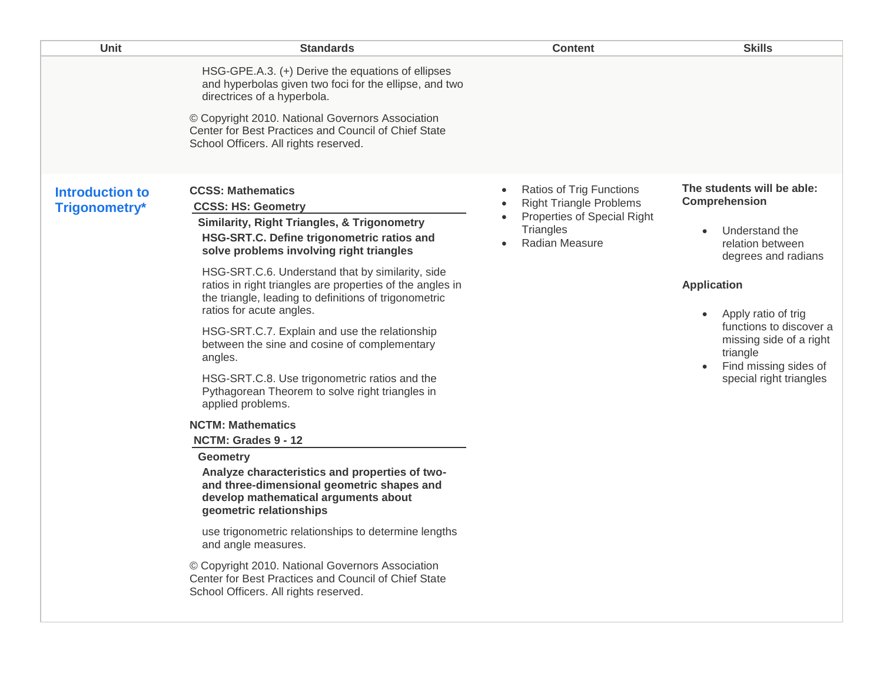| Unit                                    | <b>Standards</b>                                                                                                                                                                                                                                                                                                                                                                                                                                                                                                                                                                                                                                                                                                                                                                                                                                                                                                                                                                                                                                                                                                           | <b>Content</b>                                                                                                                                            | <b>Skills</b>                                                                                                                                                                                                                                                               |
|-----------------------------------------|----------------------------------------------------------------------------------------------------------------------------------------------------------------------------------------------------------------------------------------------------------------------------------------------------------------------------------------------------------------------------------------------------------------------------------------------------------------------------------------------------------------------------------------------------------------------------------------------------------------------------------------------------------------------------------------------------------------------------------------------------------------------------------------------------------------------------------------------------------------------------------------------------------------------------------------------------------------------------------------------------------------------------------------------------------------------------------------------------------------------------|-----------------------------------------------------------------------------------------------------------------------------------------------------------|-----------------------------------------------------------------------------------------------------------------------------------------------------------------------------------------------------------------------------------------------------------------------------|
|                                         | HSG-GPE.A.3. (+) Derive the equations of ellipses<br>and hyperbolas given two foci for the ellipse, and two<br>directrices of a hyperbola.<br>© Copyright 2010. National Governors Association<br>Center for Best Practices and Council of Chief State<br>School Officers. All rights reserved.                                                                                                                                                                                                                                                                                                                                                                                                                                                                                                                                                                                                                                                                                                                                                                                                                            |                                                                                                                                                           |                                                                                                                                                                                                                                                                             |
| <b>Introduction to</b><br>Trigonometry* | <b>CCSS: Mathematics</b><br><b>CCSS: HS: Geometry</b><br><b>Similarity, Right Triangles, &amp; Trigonometry</b><br>HSG-SRT.C. Define trigonometric ratios and<br>solve problems involving right triangles<br>HSG-SRT.C.6. Understand that by similarity, side<br>ratios in right triangles are properties of the angles in<br>the triangle, leading to definitions of trigonometric<br>ratios for acute angles.<br>HSG-SRT.C.7. Explain and use the relationship<br>between the sine and cosine of complementary<br>angles.<br>HSG-SRT.C.8. Use trigonometric ratios and the<br>Pythagorean Theorem to solve right triangles in<br>applied problems.<br><b>NCTM: Mathematics</b><br>NCTM: Grades 9 - 12<br>Geometry<br>Analyze characteristics and properties of two-<br>and three-dimensional geometric shapes and<br>develop mathematical arguments about<br>geometric relationships<br>use trigonometric relationships to determine lengths<br>and angle measures.<br>© Copyright 2010. National Governors Association<br>Center for Best Practices and Council of Chief State<br>School Officers. All rights reserved. | Ratios of Trig Functions<br>$\bullet$<br><b>Right Triangle Problems</b><br>$\bullet$<br>Properties of Special Right<br><b>Triangles</b><br>Radian Measure | The students will be able:<br>Comprehension<br>Understand the<br>relation between<br>degrees and radians<br><b>Application</b><br>Apply ratio of trig<br>functions to discover a<br>missing side of a right<br>triangle<br>Find missing sides of<br>special right triangles |